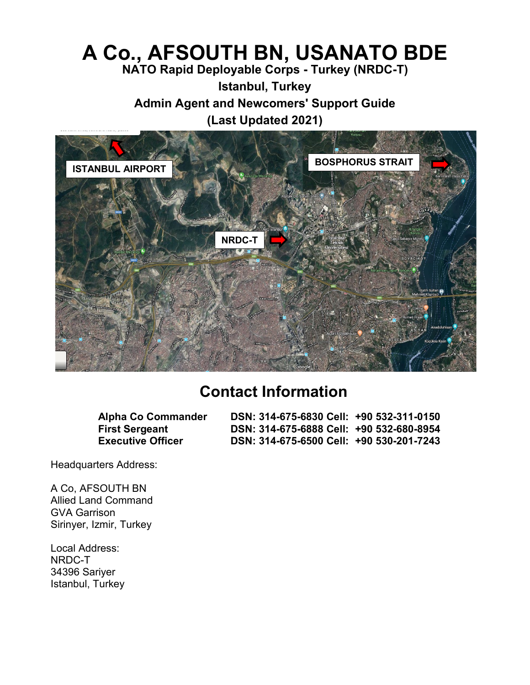# **A Co., AFSOUTH BN, USANATO BDE**

**NATO Rapid Deployable Corps - Turkey (NRDC-T)**

**Istanbul, Turkey**

**Admin Agent and Newcomers' Support Guide**

**(Last Updated 2021)** 



## **Contact Information**

**Alpha Co Commander DSN: 314-675-6830 Cell: +90 532-311-0150 First Sergeant DSN: 314-675-6888 Cell: +90 532-680-8954 Executive Officer DSN: 314-675-6500 Cell: +90 530-201-7243**

Headquarters Address:

A Co, AFSOUTH BN Allied Land Command GVA Garrison Sirinyer, Izmir, Turkey

Local Address: NRDC-T 34396 Sariyer Istanbul, Turkey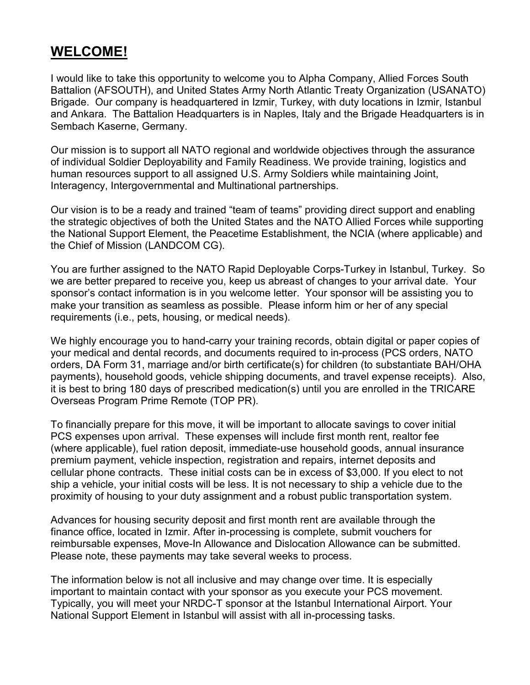#### **WELCOME!**

I would like to take this opportunity to welcome you to Alpha Company, Allied Forces South Battalion (AFSOUTH), and United States Army North Atlantic Treaty Organization (USANATO) Brigade. Our company is headquartered in Izmir, Turkey, with duty locations in Izmir, Istanbul and Ankara. The Battalion Headquarters is in Naples, Italy and the Brigade Headquarters is in Sembach Kaserne, Germany.

Our mission is to support all NATO regional and worldwide objectives through the assurance of individual Soldier Deployability and Family Readiness. We provide training, logistics and human resources support to all assigned U.S. Army Soldiers while maintaining Joint, Interagency, Intergovernmental and Multinational partnerships.

Our vision is to be a ready and trained "team of teams" providing direct support and enabling the strategic objectives of both the United States and the NATO Allied Forces while supporting the National Support Element, the Peacetime Establishment, the NCIA (where applicable) and the Chief of Mission (LANDCOM CG).

You are further assigned to the NATO Rapid Deployable Corps-Turkey in Istanbul, Turkey. So we are better prepared to receive you, keep us abreast of changes to your arrival date. Your sponsor's contact information is in you welcome letter. Your sponsor will be assisting you to make your transition as seamless as possible. Please inform him or her of any special requirements (i.e., pets, housing, or medical needs).

We highly encourage you to hand-carry your training records, obtain digital or paper copies of your medical and dental records, and documents required to in-process (PCS orders, NATO orders, DA Form 31, marriage and/or birth certificate(s) for children (to substantiate BAH/OHA payments), household goods, vehicle shipping documents, and travel expense receipts). Also, it is best to bring 180 days of prescribed medication(s) until you are enrolled in the TRICARE Overseas Program Prime Remote (TOP PR).

To financially prepare for this move, it will be important to allocate savings to cover initial PCS expenses upon arrival. These expenses will include first month rent, realtor fee (where applicable), fuel ration deposit, immediate-use household goods, annual insurance premium payment, vehicle inspection, registration and repairs, internet deposits and cellular phone contracts. These initial costs can be in excess of \$3,000. If you elect to not ship a vehicle, your initial costs will be less. It is not necessary to ship a vehicle due to the proximity of housing to your duty assignment and a robust public transportation system.

Advances for housing security deposit and first month rent are available through the finance office, located in Izmir. After in-processing is complete, submit vouchers for reimbursable expenses, Move-In Allowance and Dislocation Allowance can be submitted. Please note, these payments may take several weeks to process.

The information below is not all inclusive and may change over time. It is especially important to maintain contact with your sponsor as you execute your PCS movement. Typically, you will meet your NRDC-T sponsor at the Istanbul International Airport. Your National Support Element in Istanbul will assist with all in-processing tasks.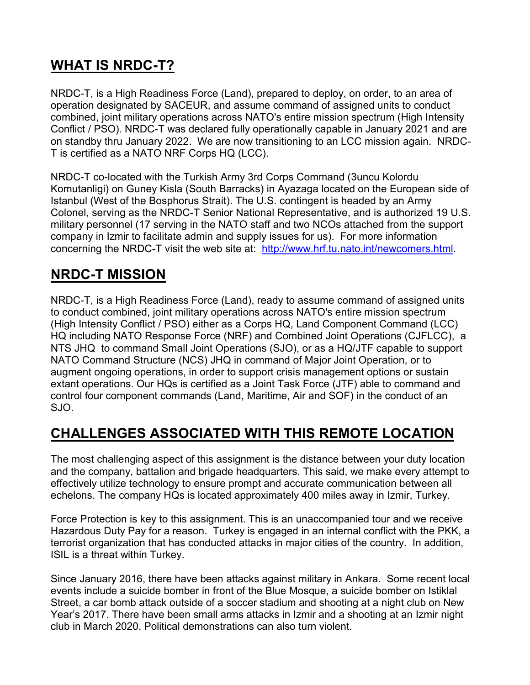## **WHAT IS NRDC-T?**

NRDC-T, is a High Readiness Force (Land), prepared to deploy, on order, to an area of operation designated by SACEUR, and assume command of assigned units to conduct combined, joint military operations across NATO's entire mission spectrum (High Intensity Conflict / PSO). NRDC-T was declared fully operationally capable in January 2021 and are on standby thru January 2022. We are now transitioning to an LCC mission again. NRDC-T is certified as a NATO NRF Corps HQ (LCC).

NRDC-T co-located with the Turkish Army 3rd Corps Command (3uncu Kolordu Komutanligi) on Guney Kisla (South Barracks) in Ayazaga located on the European side of Istanbul (West of the Bosphorus Strait). The U.S. contingent is headed by an Army Colonel, serving as the NRDC-T Senior National Representative, and is authorized 19 U.S. military personnel (17 serving in the NATO staff and two NCOs attached from the support company in Izmir to facilitate admin and supply issues for us). For more information concerning the NRDC-T visit the web site at: [http://www.hrf.tu.nato.int/newcomers.html.](http://www.hrf.tu.nato.int/newcomers.html)

## **NRDC-T MISSION**

NRDC-T, is a High Readiness Force (Land), ready to assume command of assigned units to conduct combined, joint military operations across NATO's entire mission spectrum (High Intensity Conflict / PSO) either as a Corps HQ, Land Component Command (LCC) HQ including NATO Response Force (NRF) and Combined Joint Operations (CJFLCC), a NTS JHQ to command Small Joint Operations (SJO), or as a HQ/JTF capable to support NATO Command Structure (NCS) JHQ in command of Major Joint Operation, or to augment ongoing operations, in order to support crisis management options or sustain extant operations. Our HQs is certified as a Joint Task Force (JTF) able to command and control four component commands (Land, Maritime, Air and SOF) in the conduct of an SJO.

## **CHALLENGES ASSOCIATED WITH THIS REMOTE LOCATION**

The most challenging aspect of this assignment is the distance between your duty location and the company, battalion and brigade headquarters. This said, we make every attempt to effectively utilize technology to ensure prompt and accurate communication between all echelons. The company HQs is located approximately 400 miles away in Izmir, Turkey.

Force Protection is key to this assignment. This is an unaccompanied tour and we receive Hazardous Duty Pay for a reason. Turkey is engaged in an internal conflict with the PKK, a terrorist organization that has conducted attacks in major cities of the country. In addition, ISIL is a threat within Turkey.

Since January 2016, there have been attacks against military in Ankara. Some recent local events include a suicide bomber in front of the Blue Mosque, a suicide bomber on Istiklal Street, a car bomb attack outside of a soccer stadium and shooting at a night club on New Year's 2017. There have been small arms attacks in Izmir and a shooting at an Izmir night club in March 2020. Political demonstrations can also turn violent.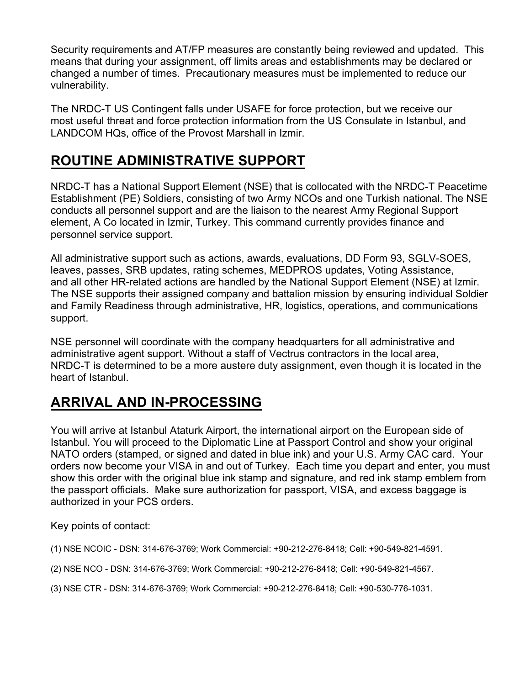Security requirements and AT/FP measures are constantly being reviewed and updated. This means that during your assignment, off limits areas and establishments may be declared or changed a number of times. Precautionary measures must be implemented to reduce our vulnerability.

The NRDC-T US Contingent falls under USAFE for force protection, but we receive our most useful threat and force protection information from the US Consulate in Istanbul, and LANDCOM HQs, office of the Provost Marshall in Izmir.

## **ROUTINE ADMINISTRATIVE SUPPORT**

NRDC-T has a National Support Element (NSE) that is collocated with the NRDC-T Peacetime Establishment (PE) Soldiers, consisting of two Army NCOs and one Turkish national. The NSE conducts all personnel support and are the liaison to the nearest Army Regional Support element, A Co located in Izmir, Turkey. This command currently provides finance and personnel service support.

All administrative support such as actions, awards, evaluations, DD Form 93, SGLV-SOES, leaves, passes, SRB updates, rating schemes, MEDPROS updates, Voting Assistance, and all other HR-related actions are handled by the National Support Element (NSE) at Izmir. The NSE supports their assigned company and battalion mission by ensuring individual Soldier and Family Readiness through administrative, HR, logistics, operations, and communications support.

NSE personnel will coordinate with the company headquarters for all administrative and administrative agent support. Without a staff of Vectrus contractors in the local area, NRDC-T is determined to be a more austere duty assignment, even though it is located in the heart of Istanbul.

## **ARRIVAL AND IN-PROCESSING**

You will arrive at Istanbul Ataturk Airport, the international airport on the European side of Istanbul. You will proceed to the Diplomatic Line at Passport Control and show your original NATO orders (stamped, or signed and dated in blue ink) and your U.S. Army CAC card. Your orders now become your VISA in and out of Turkey. Each time you depart and enter, you must show this order with the original blue ink stamp and signature, and red ink stamp emblem from the passport officials. Make sure authorization for passport, VISA, and excess baggage is authorized in your PCS orders.

Key points of contact:

- (1) NSE NCOIC DSN: 314-676-3769; Work Commercial: +90-212-276-8418; Cell: +90-549-821-4591.
- (2) NSE NCO DSN: 3[14-676-3769; Work](mailto:natika.m.stafford.mil@mail.mil) Commercial: +90-212-276-8418; Cell: +90-549-821-4567.
- (3) NSE CTR DSN: 314-676-3769; Work Commercial: +90-212-276-8418; Cell: +90-530-776-1031.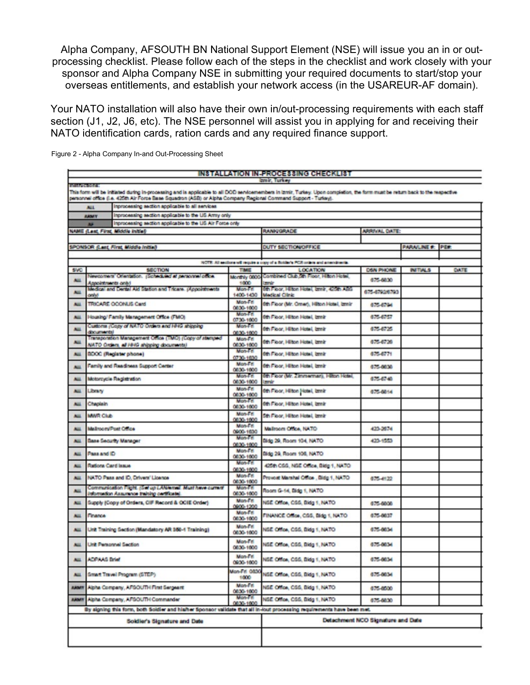Alpha Company, AFSOUTH BN National Support Element (NSE) will issue you an in or outprocessing checklist. Please follow each of the steps in the checklist and work closely with your sponsor and Alpha Company NSE in submitting your required documents to start/stop your overseas entitlements, and establish your network access (in the USAREUR-AF domain).

Your NATO installation will also have their own in/out-processing requirements with each staff section (J1, J2, J6, etc). The NSE personnel will assist you in applying for and receiving their NATO identification cards, ration cards and any required finance support.

| INSTALLATION IN-PROCESSING CHECKLIST                                                                                                                                                                                                                                                             |                                                                                                     |                                                                                                                         |                       |                                                                                    |                |                          |      |  |
|--------------------------------------------------------------------------------------------------------------------------------------------------------------------------------------------------------------------------------------------------------------------------------------------------|-----------------------------------------------------------------------------------------------------|-------------------------------------------------------------------------------------------------------------------------|-----------------------|------------------------------------------------------------------------------------|----------------|--------------------------|------|--|
| breiz, Turkey<br>DOM/DOM/OT                                                                                                                                                                                                                                                                      |                                                                                                     |                                                                                                                         |                       |                                                                                    |                |                          |      |  |
| This form will be initiated during in-processing and is applicable to all DOD senicemembers in Izmir, Turkey. Upon completion, the form must be return back to the respective<br>personnel office (i.e. 425th Air Force Base Squadron (ASB) or Alpha Company Regional Command Support - Turkey). |                                                                                                     |                                                                                                                         |                       |                                                                                    |                |                          |      |  |
| Inprocessing section applicable to all services<br>ALL <sub></sub>                                                                                                                                                                                                                               |                                                                                                     |                                                                                                                         |                       |                                                                                    |                |                          |      |  |
|                                                                                                                                                                                                                                                                                                  | <b>ARM'T</b>                                                                                        | Inprocessing section applicable to the US Array only                                                                    |                       |                                                                                    |                |                          |      |  |
| Inprocessing section applicable to the US Air Force only<br>51                                                                                                                                                                                                                                   |                                                                                                     |                                                                                                                         |                       |                                                                                    |                |                          |      |  |
| NAME (Last, First, Middle Initial)                                                                                                                                                                                                                                                               |                                                                                                     |                                                                                                                         |                       | <b>RANKIGRADE</b>                                                                  | ARRIVAL DATE:  |                          |      |  |
|                                                                                                                                                                                                                                                                                                  |                                                                                                     |                                                                                                                         |                       |                                                                                    |                |                          |      |  |
| SPONSOR (Last, First, Middle Initial)                                                                                                                                                                                                                                                            |                                                                                                     |                                                                                                                         |                       | DUTY SECTION/OFFICE                                                                |                | <b>PARAILINE #: PE#:</b> |      |  |
|                                                                                                                                                                                                                                                                                                  |                                                                                                     |                                                                                                                         |                       | NOTE: All southers will require a copy of a Boldar's PCB criters and a need-tents. |                |                          |      |  |
| <b>SVO</b>                                                                                                                                                                                                                                                                                       | <b>SECTION</b>                                                                                      |                                                                                                                         | <b>TAKE</b>           | <b>LOCATION</b>                                                                    | DSIN PHONE     | <b>INTIALS</b>           | DATE |  |
| ALL                                                                                                                                                                                                                                                                                              |                                                                                                     | viewcomers' Orientation. (Scheduled at personnel colors                                                                 |                       | Combined Club on Floor, Hilton Hotel,<br>Monthly 0800-                             | 675-6830       |                          |      |  |
|                                                                                                                                                                                                                                                                                                  |                                                                                                     | <b>Appointments only!</b><br>Medical and Dental Aid Station and Tricare. (Appointments                                  |                       | <b>Tomato</b><br>6th Floor, Hilton Hotel, brink, 420th ABS                         |                |                          |      |  |
| ALL                                                                                                                                                                                                                                                                                              | centus                                                                                              |                                                                                                                         |                       | <b>Medical Clinic</b>                                                              | 675-6792/6793  |                          |      |  |
| <b>Note</b>                                                                                                                                                                                                                                                                                      | TRICARE OCONLIS Card                                                                                |                                                                                                                         | Mon-Fit<br>0830-1000  | 6th Fibor (Mr. Omer), Hilton Hotel, brnir                                          | 675-6794       |                          |      |  |
| <b>ALL</b>                                                                                                                                                                                                                                                                                       | Housing/ Family Management Office (FMO)                                                             |                                                                                                                         | Mon-Fr<br>0730-1800   | 0th Figur, Hilton Hotel, break                                                     | 675-6757       |                          |      |  |
| <b>NH</b>                                                                                                                                                                                                                                                                                        | Customs (Copy of NATO Orders and HHVS shipping<br>documents)                                        |                                                                                                                         | Mon-Fit<br>0830-1800  | 6th Floor, Hilton Hotel, break                                                     | 675-6725       |                          |      |  |
| <b>NGL</b>                                                                                                                                                                                                                                                                                       | Transporation Management Office (TMC) (Copy of stamped<br>NATO Orders, all 1849 shipping documental |                                                                                                                         | Mon-Fri<br>0830-1800  | 0th Fibor, Hilton Hotel, brnk                                                      | 675-6720       |                          |      |  |
| <b>Note</b>                                                                                                                                                                                                                                                                                      | <b>BDOC</b> (Register phone)                                                                        |                                                                                                                         | Mon-Fit<br>0730-1830  | 0th Floor, Hilton Hotel, brnir                                                     | 676-6771       |                          |      |  |
| <b>Not</b>                                                                                                                                                                                                                                                                                       | Family and Readiness Support Center                                                                 |                                                                                                                         | Mon-Fri<br>0630-1000  | 0th Fiber, Hilton Hotel, brnir                                                     | 675-0830       |                          |      |  |
| ALL                                                                                                                                                                                                                                                                                              | Motorcycle Registration                                                                             |                                                                                                                         | Mon-Fit<br>0030-1000  | 6th Floor (Mr. Zimmerman), Hilton Hotel,<br><b>Lemán</b>                           | 675-6740       |                          |      |  |
| ALL                                                                                                                                                                                                                                                                                              | Library                                                                                             |                                                                                                                         | Mon-Fif.<br>0830-1800 | 0th Floor, Hilton Hotel, breir                                                     | 0.15-0014      |                          |      |  |
| ALL                                                                                                                                                                                                                                                                                              | Chaplain                                                                                            |                                                                                                                         | Mon-Fift<br>0030-1000 | 0th Fiber, Hilton Hotel, brnir                                                     |                |                          |      |  |
| ALL                                                                                                                                                                                                                                                                                              | <b>MANR CILE</b>                                                                                    |                                                                                                                         | Mon-Fri<br>0830-1800  | 5th Fibor, Hilton Hotel, brnir                                                     |                |                          |      |  |
| <b>ALL</b>                                                                                                                                                                                                                                                                                       | Mailroom/Post Office                                                                                |                                                                                                                         | Mon-Fif.<br>0003-1030 | Mallroom Office, NATO                                                              | 423-2874       |                          |      |  |
| <b>Note</b>                                                                                                                                                                                                                                                                                      | Base Security Manager                                                                               |                                                                                                                         | Mon-Fit<br>0830-1800  | Bidg 29, Room 104, NATO                                                            | 423-1553       |                          |      |  |
| <b>ALL</b>                                                                                                                                                                                                                                                                                       | Pass and ID                                                                                         |                                                                                                                         | Mon-Fif<br>0030-1000  | Bidg 29, Room 106, NATO                                                            |                |                          |      |  |
| <b>No:</b>                                                                                                                                                                                                                                                                                       | Rations Card Issue                                                                                  |                                                                                                                         | Mon-Fift<br>0830-1000 | 425th CSG, NGE Office, Bldg 1, NATO                                                |                |                          |      |  |
| <b>NIL</b>                                                                                                                                                                                                                                                                                       | NATO Pass and ID, Drivers' Licence                                                                  |                                                                                                                         | Mon-Fri<br>0630-1000  | Provost Marshal Othos , Bidg 1, NATO                                               | $0.75 - 41.22$ |                          |      |  |
| <b>Note</b>                                                                                                                                                                                                                                                                                      | Communication Fight, (Set up LANAmed, Must have current<br>idomation Assuminos training cardicate)  |                                                                                                                         | Mon-Fit.<br>0030-1000 | Room G-14, Bldg 1, NATO                                                            |                |                          |      |  |
| ALL.                                                                                                                                                                                                                                                                                             | Supply (Copy of Orders, CIF Record & OCIE Order)                                                    |                                                                                                                         | Mon-Fif<br>0803-1200  | NSE Office, CSS, Bldg 1, NATO                                                      | 675-6000       |                          |      |  |
| <b>ALL</b>                                                                                                                                                                                                                                                                                       | Finance                                                                                             |                                                                                                                         | Mon-Fift<br>0830-1800 | FINANCE Office, CGS, Eldg 1, NATO                                                  | 675-0837       |                          |      |  |
| <b>ALL</b>                                                                                                                                                                                                                                                                                       | Unit Training Section (Mandatory AR 160-1 Training)                                                 |                                                                                                                         | Mon-Fif<br>0030-1000  | NSE Office, CSS, Bldg 1, NATO                                                      | 875-0834       |                          |      |  |
| <b>No.</b>                                                                                                                                                                                                                                                                                       | Unit Personnel Section                                                                              |                                                                                                                         | Mon-Fif<br>0030-1000  | NSE Office, CSS, Bldg 1, NATO                                                      | 675-0834       |                          |      |  |
| ALL.                                                                                                                                                                                                                                                                                             | ADPAAS Drief                                                                                        |                                                                                                                         | Mon-Fif<br>0930-1000  | NSE Office, CSS, Bldg 1, NATO                                                      | 675-0834       |                          |      |  |
| ALL.                                                                                                                                                                                                                                                                                             |                                                                                                     | Great Travel Program (GTEP)                                                                                             | Mon-Fif 0830<br>1000  | NSE Office, CSS, Bidg 1, NATO                                                      | 675-0834       |                          |      |  |
| <b>ABOUT</b>                                                                                                                                                                                                                                                                                     |                                                                                                     | Alpha Company, AFGOUTH First Sergeant                                                                                   | Mon-Fri<br>0830-1000  | NSE Office, CSS, Bidg 1, NATO                                                      | 675-8500       |                          |      |  |
| <b>ARM!!!</b>                                                                                                                                                                                                                                                                                    | Alpha Company, APSOUTH Commander                                                                    |                                                                                                                         | Mon-Fri<br>0830-1800  | NSE Office, CSS, Bldg 1, NATO                                                      | 875-8830       |                          |      |  |
|                                                                                                                                                                                                                                                                                                  |                                                                                                     | By signing this form, both Soldier and his/her Sponsor validate that all in-lost processing requirements have been met. |                       |                                                                                    |                |                          |      |  |
| Soldier's Signature and Date                                                                                                                                                                                                                                                                     |                                                                                                     |                                                                                                                         |                       | Detachment NCO Signature and Date                                                  |                |                          |      |  |
|                                                                                                                                                                                                                                                                                                  |                                                                                                     |                                                                                                                         |                       |                                                                                    |                |                          |      |  |

Figure 2 - Alpha Company In-and Out-Processing Sheet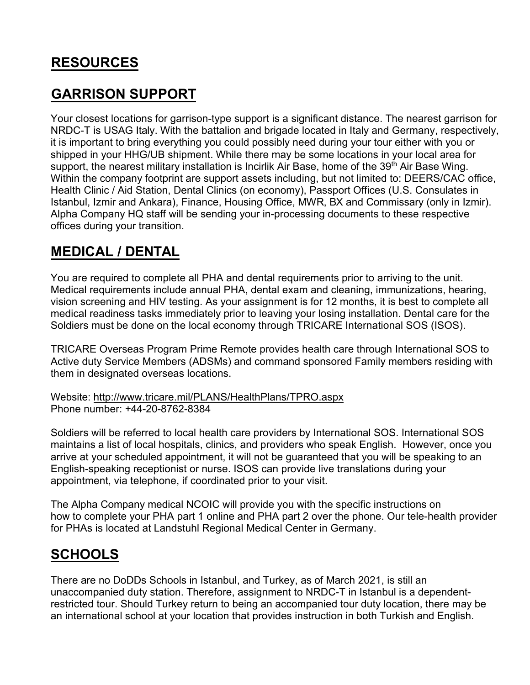## **RESOURCES**

#### **GARRISON SUPPORT**

Your closest locations for garrison-type support is a significant distance. The nearest garrison for NRDC-T is USAG Italy. With the battalion and brigade located in Italy and Germany, respectively, it is important to bring everything you could possibly need during your tour either with you or shipped in your HHG/UB shipment. While there may be some locations in your local area for support, the nearest military installation is Incirlik Air Base, home of the 39<sup>th</sup> Air Base Wing. Within the company footprint are support assets including, but not limited to: DEERS/CAC office, Health Clinic / Aid Station, Dental Clinics (on economy), Passport Offices (U.S. Consulates in Istanbul, Izmir and Ankara), Finance, Housing Office, MWR, BX and Commissary (only in Izmir). Alpha Company HQ staff will be sending your in-processing documents to these respective offices during your transition.

#### **MEDICAL / DENTAL**

You are required to complete all PHA and dental requirements prior to arriving to the unit. Medical requirements include annual PHA, dental exam and cleaning, immunizations, hearing, vision screening and HIV testing. As your assignment is for 12 months, it is best to complete all medical readiness tasks immediately prior to leaving your losing installation. Dental care for the Soldiers must be done on the local economy through TRICARE International SOS (ISOS).

TRICARE Overseas Program Prime Remote provides health care through International SOS to Active duty Service Members (ADSMs) and command sponsored Family members residing with them in designated overseas locations.

Website:<http://www.tricare.mil/PLANS/HealthPlans/TPRO.aspx> Phone number: +44-20-8762-8384

Soldiers will be referred to local health care providers by International SOS. International SOS maintains a list of local hospitals, clinics, and providers who speak English. However, once you arrive at your scheduled appointment, it will not be guaranteed that you will be speaking to an English-speaking receptionist or nurse. ISOS can provide live translations during your appointment, via telephone, if coordinated prior to your visit.

The Alpha Company medical NCOIC will provide you with the specific instructions on how to complete your PHA part 1 online and PHA part 2 over the phone. Our tele-health provider for PHAs is located at Landstuhl Regional Medical Center in Germany.

## **SCHOOLS**

There are no DoDDs Schools in Istanbul, and Turkey, as of March 2021, is still an unaccompanied duty station. Therefore, assignment to NRDC-T in Istanbul is a dependentrestricted tour. Should Turkey return to being an accompanied tour duty location, there may be an international school at your location that provides instruction in both Turkish and English.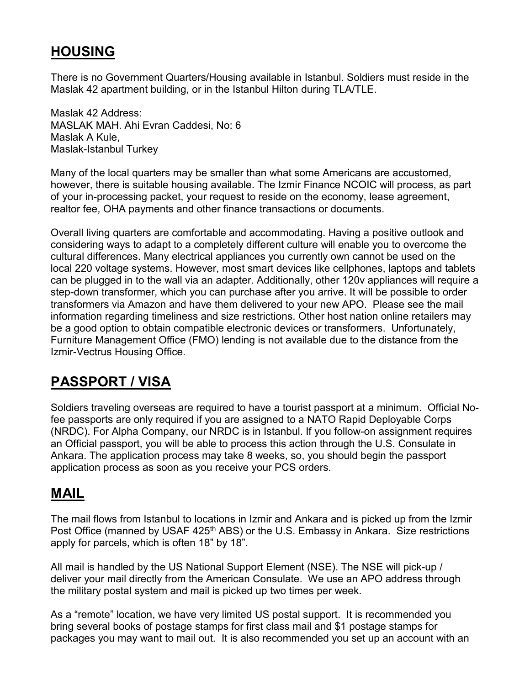## **HOUSING**

There is no Government Quarters/Housing available in Istanbul. Soldiers must reside in the Maslak 42 apartment building, or in the Istanbul Hilton during TLA/TLE.

Maslak 42 Address: MASLAK MAH. Ahi Evran Caddesi, No: 6 Maslak A Kule, Maslak-Istanbul Turkey

Many of the local quarters may be smaller than what some Americans are accustomed, however, there is suitable housing available. The Izmir Finance NCOIC will process, as part of your in-processing packet, your request to reside on the economy, lease agreement, realtor fee, OHA payments and other finance transactions or documents.

Overall living quarters are comfortable and accommodating. Having a positive outlook and considering ways to adapt to a completely different culture will enable you to overcome the cultural differences. Many electrical appliances you currently own cannot be used on the local 220 voltage systems. However, most smart devices like cellphones, laptops and tablets can be plugged in to the wall via an adapter. Additionally, other 120v appliances will require a step-down transformer, which you can purchase after you arrive. It will be possible to order transformers via Amazon and have them delivered to your new APO. Please see the mail information regarding timeliness and size restrictions. Other host nation online retailers may be a good option to obtain compatible electronic devices or transformers. Unfortunately, Furniture Management Office (FMO) lending is not available due to the distance from the Izmir-Vectrus Housing Office.

## **PASSPORT / VISA**

Soldiers traveling overseas are required to have a tourist passport at a minimum. Official Nofee passports are only required if you are assigned to a NATO Rapid Deployable Corps (NRDC). For Alpha Company, our NRDC is in Istanbul. If you follow-on assignment requires an Official passport, you will be able to process this action through the U.S. Consulate in Ankara. The application process may take 8 weeks, so, you should begin the passport application process as soon as you receive your PCS orders.

## **MAIL**

The mail flows from Istanbul to locations in Izmir and Ankara and is picked up from the Izmir Post Office (manned by USAF 425<sup>th</sup> ABS) or the U.S. Embassy in Ankara. Size restrictions apply for parcels, which is often 18" by 18".

All mail is handled by the US National Support Element (NSE). The NSE will pick-up / deliver your mail directly from the American Consulate. We use an APO address through the military postal system and mail is picked up two times per week.

As a "remote" location, we have very limited US postal support. It is recommended you bring several books of postage stamps for first class mail and \$1 postage stamps for packages you may want to mail out. It is also recommended you set up an account with an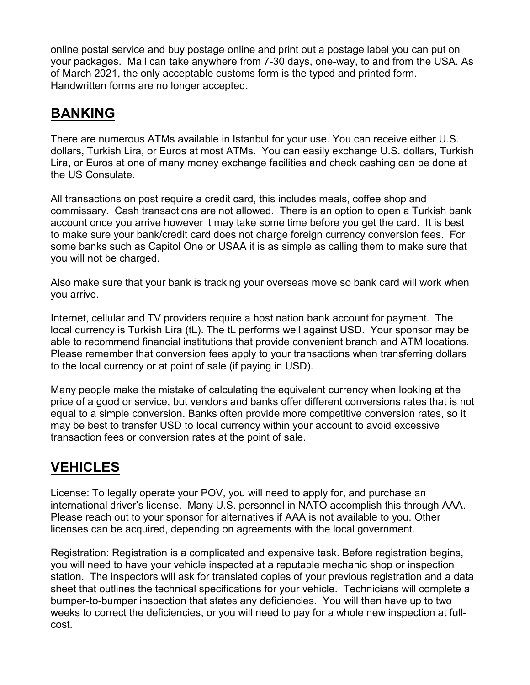online postal service and buy postage online and print out a postage label you can put on your packages. Mail can take anywhere from 7-30 days, one-way, to and from the USA. As of March 2021, the only acceptable customs form is the typed and printed form. Handwritten forms are no longer accepted.

# **BANKING**

There are numerous ATMs available in Istanbul for your use. You can receive either U.S. dollars, Turkish Lira, or Euros at most ATMs. You can easily exchange U.S. dollars, Turkish Lira, or Euros at one of many money exchange facilities and check cashing can be done at the US Consulate.

All transactions on post require a credit card, this includes meals, coffee shop and commissary. Cash transactions are not allowed. There is an option to open a Turkish bank account once you arrive however it may take some time before you get the card. It is best to make sure your bank/credit card does not charge foreign currency conversion fees. For some banks such as Capitol One or USAA it is as simple as calling them to make sure that you will not be charged.

Also make sure that your bank is tracking your overseas move so bank card will work when you arrive.

Internet, cellular and TV providers require a host nation bank account for payment. The local currency is Turkish Lira (tL). The tL performs well against USD. Your sponsor may be able to recommend financial institutions that provide convenient branch and ATM locations. Please remember that conversion fees apply to your transactions when transferring dollars to the local currency or at point of sale (if paying in USD).

Many people make the mistake of calculating the equivalent currency when looking at the price of a good or service, but vendors and banks offer different conversions rates that is not equal to a simple conversion. Banks often provide more competitive conversion rates, so it may be best to transfer USD to local currency within your account to avoid excessive transaction fees or conversion rates at the point of sale.

## **VEHICLES**

License: To legally operate your POV, you will need to apply for, and purchase an international driver's license. Many U.S. personnel in NATO accomplish this through AAA. Please reach out to your sponsor for alternatives if AAA is not available to you. Other licenses can be acquired, depending on agreements with the local government.

Registration: Registration is a complicated and expensive task. Before registration begins, you will need to have your vehicle inspected at a reputable mechanic shop or inspection station. The inspectors will ask for translated copies of your previous registration and a data sheet that outlines the technical specifications for your vehicle. Technicians will complete a bumper-to-bumper inspection that states any deficiencies. You will then have up to two weeks to correct the deficiencies, or you will need to pay for a whole new inspection at fullcost.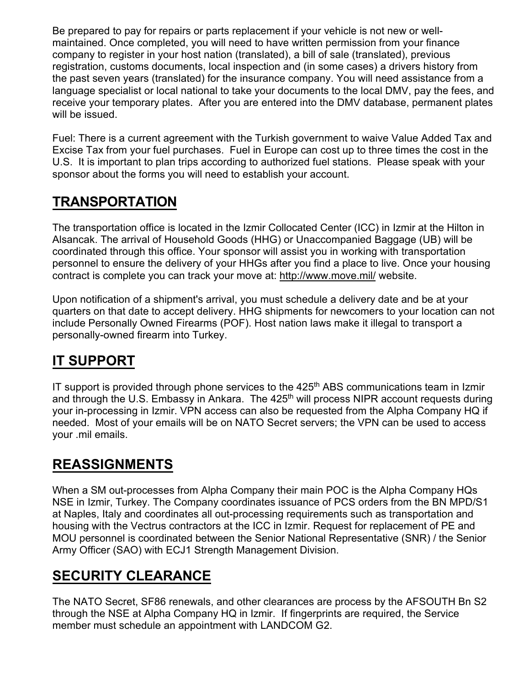Be prepared to pay for repairs or parts replacement if your vehicle is not new or wellmaintained. Once completed, you will need to have written permission from your finance company to register in your host nation (translated), a bill of sale (translated), previous registration, customs documents, local inspection and (in some cases) a drivers history from the past seven years (translated) for the insurance company. You will need assistance from a language specialist or local national to take your documents to the local DMV, pay the fees, and receive your temporary plates. After you are entered into the DMV database, permanent plates will be issued.

Fuel: There is a current agreement with the Turkish government to waive Value Added Tax and Excise Tax from your fuel purchases. Fuel in Europe can cost up to three times the cost in the U.S. It is important to plan trips according to authorized fuel stations. Please speak with your sponsor about the forms you will need to establish your account.

#### **TRANSPORTATION**

The transportation office is located in the Izmir Collocated Center (ICC) in Izmir at the Hilton in Alsancak. The arrival of Household Goods (HHG) or Unaccompanied Baggage (UB) will be coordinated through this office. Your sponsor will assist you in working with transportation personnel to ensure the delivery of your HHGs after you find a place to live. Once your housing contract is complete you can track your move at: <http://www.move.mil/> website.

Upon notification of a shipment's arrival, you must schedule a delivery date and be at your quarters on that date to accept delivery. HHG shipments for newcomers to your location can not include Personally Owned Firearms (POF). Host nation laws make it illegal to transport a personally-owned firearm into Turkey.

## **IT SUPPORT**

IT support is provided through phone services to the  $425<sup>th</sup>$  ABS communications team in Izmir and through the U.S. Embassy in Ankara. The  $425<sup>th</sup>$  will process NIPR account requests during your in-processing in Izmir. VPN access can also be requested from the Alpha Company HQ if needed. Most of your emails will be on NATO Secret servers; the VPN can be used to access your .mil emails.

## **REASSIGNMENTS**

When a SM out-processes from Alpha Company their main POC is the Alpha Company HQs NSE in Izmir, Turkey. The Company coordinates issuance of PCS orders from the BN MPD/S1 at Naples, Italy and coordinates all out-processing requirements such as transportation and housing with the Vectrus contractors at the ICC in Izmir. Request for replacement of PE and MOU personnel is coordinated between the Senior National Representative (SNR) / the Senior Army Officer (SAO) with ECJ1 Strength Management Division.

## **SECURITY CLEARANCE**

The NATO Secret, SF86 renewals, and other clearances are process by the AFSOUTH Bn S2 through the NSE at Alpha Company HQ in Izmir. If fingerprints are required, the Service member must schedule an appointment with LANDCOM G2.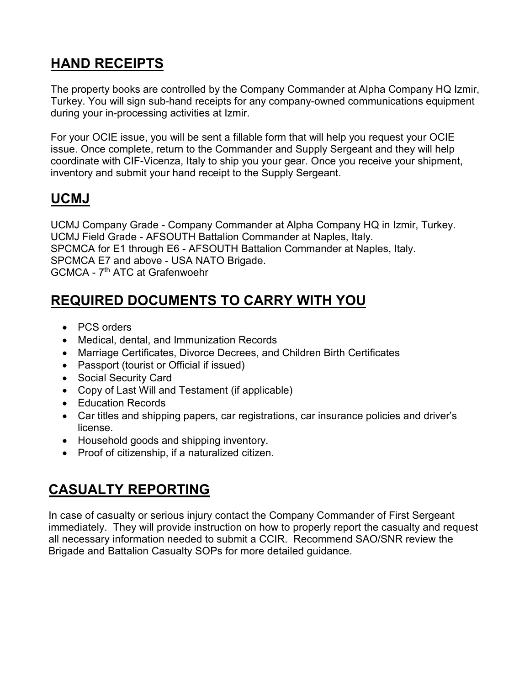# **HAND RECEIPTS**

The property books are controlled by the Company Commander at Alpha Company HQ Izmir, Turkey. You will sign sub-hand receipts for any company-owned communications equipment during your in-processing activities at Izmir.

For your OCIE issue, you will be sent a fillable form that will help you request your OCIE issue. Once complete, return to the Commander and Supply Sergeant and they will help coordinate with CIF-Vicenza, Italy to ship you your gear. Once you receive your shipment, inventory and submit your hand receipt to the Supply Sergeant.

# **UCMJ**

UCMJ Company Grade - Company Commander at Alpha Company HQ in Izmir, Turkey. UCMJ Field Grade - AFSOUTH Battalion Commander at Naples, Italy. SPCMCA for E1 through E6 - AFSOUTH Battalion Commander at Naples, Italy. SPCMCA E7 and above - USA NATO Brigade. GCMCA - 7th ATC at Grafenwoehr

## **REQUIRED DOCUMENTS TO CARRY WITH YOU**

- PCS orders
- Medical, dental, and Immunization Records
- Marriage Certificates, Divorce Decrees, and Children Birth Certificates
- Passport (tourist or Official if issued)
- Social Security Card
- Copy of Last Will and Testament (if applicable)
- Education Records
- Car titles and shipping papers, car registrations, car insurance policies and driver's license.
- Household goods and shipping inventory.
- Proof of citizenship, if a naturalized citizen.

## **CASUALTY REPORTING**

In case of casualty or serious injury contact the Company Commander of First Sergeant immediately. They will provide instruction on how to properly report the casualty and request all necessary information needed to submit a CCIR. Recommend SAO/SNR review the Brigade and Battalion Casualty SOPs for more detailed guidance.